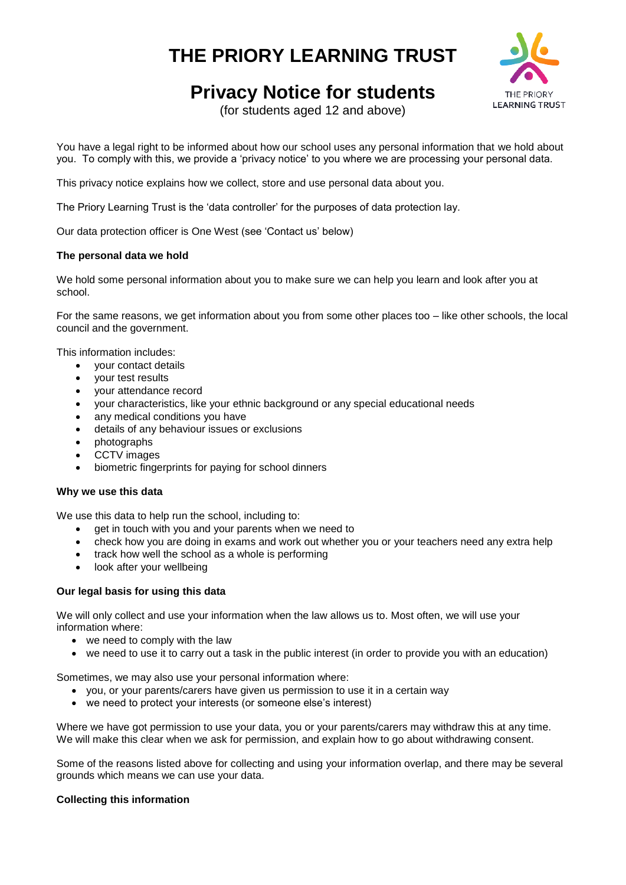# **THE PRIORY LEARNING TRUST**



# **Privacy Notice for students**

(for students aged 12 and above)

You have a legal right to be informed about how our school uses any personal information that we hold about you. To comply with this, we provide a 'privacy notice' to you where we are processing your personal data.

This privacy notice explains how we collect, store and use personal data about you.

The Priory Learning Trust is the 'data controller' for the purposes of data protection lay.

Our data protection officer is One West (see 'Contact us' below)

# **The personal data we hold**

We hold some personal information about you to make sure we can help you learn and look after you at school.

For the same reasons, we get information about you from some other places too – like other schools, the local council and the government.

This information includes:

- your contact details
- your test results
- your attendance record
- your characteristics, like your ethnic background or any special educational needs
- any medical conditions you have
- details of any behaviour issues or exclusions
- photographs
- CCTV images
- biometric fingerprints for paying for school dinners

# **Why we use this data**

We use this data to help run the school, including to:

- get in touch with you and your parents when we need to
- check how you are doing in exams and work out whether you or your teachers need any extra help
- track how well the school as a whole is performing
- look after your wellbeing

# **Our legal basis for using this data**

We will only collect and use your information when the law allows us to. Most often, we will use your information where:

- we need to comply with the law
- we need to use it to carry out a task in the public interest (in order to provide you with an education)

Sometimes, we may also use your personal information where:

- you, or your parents/carers have given us permission to use it in a certain way
- we need to protect your interests (or someone else's interest)

Where we have got permission to use your data, you or your parents/carers may withdraw this at any time. We will make this clear when we ask for permission, and explain how to go about withdrawing consent.

Some of the reasons listed above for collecting and using your information overlap, and there may be several grounds which means we can use your data.

# **Collecting this information**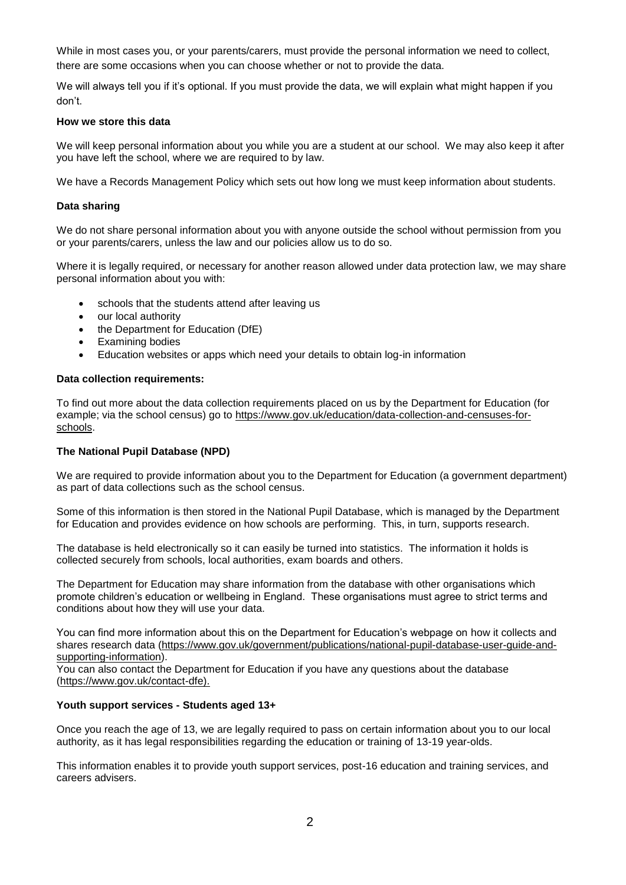While in most cases you, or your parents/carers, must provide the personal information we need to collect, there are some occasions when you can choose whether or not to provide the data.

We will always tell you if it's optional. If you must provide the data, we will explain what might happen if you don't.

### **How we store this data**

We will keep personal information about you while you are a student at our school. We may also keep it after you have left the school, where we are required to by law.

We have a Records Management Policy which sets out how long we must keep information about students.

### **Data sharing**

We do not share personal information about you with anyone outside the school without permission from you or your parents/carers, unless the law and our policies allow us to do so.

Where it is legally required, or necessary for another reason allowed under data protection law, we may share personal information about you with:

- schools that the students attend after leaving us
- our local authority
- the Department for Education (DfE)
- Examining bodies
- Education websites or apps which need your details to obtain log-in information

#### **Data collection requirements:**

To find out more about the data collection requirements placed on us by the Department for Education (for example; via the school census) go to [https://www.gov.uk/education/data-collection-and-censuses-for](https://www.gov.uk/education/data-collection-and-censuses-for-schools)[schools.](https://www.gov.uk/education/data-collection-and-censuses-for-schools)

#### **The National Pupil Database (NPD)**

We are required to provide information about you to the Department for Education (a government department) as part of data collections such as the school census.

Some of this information is then stored in the National Pupil Database, which is managed by the Department for Education and provides evidence on how schools are performing. This, in turn, supports research.

The database is held electronically so it can easily be turned into statistics. The information it holds is collected securely from schools, local authorities, exam boards and others.

The Department for Education may share information from the database with other organisations which promote children's education or wellbeing in England. These organisations must agree to strict terms and conditions about how they will use your data.

You can find more information about this on the Department for Education's webpage on [how it collects and](https://www.gov.uk/data-protection-how-we-collect-and-share-research-data)  [shares research data](https://www.gov.uk/data-protection-how-we-collect-and-share-research-data) [\(https://www.gov.uk/government/publications/national-pupil-database-user-guide-and](https://www.gov.uk/government/publications/national-pupil-database-user-guide-and-supporting-information)[supporting-information\)](https://www.gov.uk/government/publications/national-pupil-database-user-guide-and-supporting-information).

You can also [contact the Department for Education](https://www.gov.uk/contact-dfe) if you have any questions about the database [\(https://www.gov.uk/contact-dfe\)](https://www.gov.uk/contact-dfe).

#### **Youth support services - Students aged 13+**

Once you reach the age of 13, we are legally required to pass on certain information about you to our local authority, as it has legal responsibilities regarding the education or training of 13-19 year-olds.

This information enables it to provide youth support services, post-16 education and training services, and careers advisers.